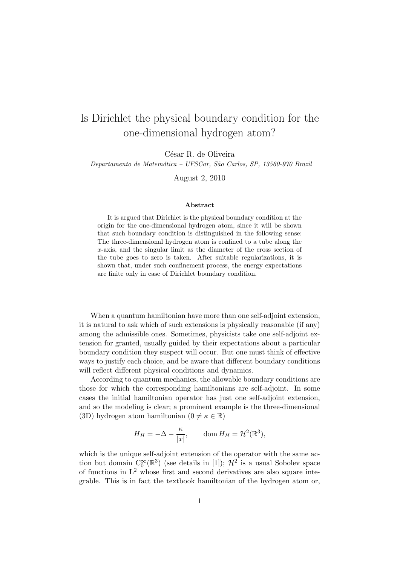## Is Dirichlet the physical boundary condition for the one-dimensional hydrogen atom?

César R. de Oliveira

Departamento de Matemática – UFSCar, São Carlos, SP, 13560-970 Brazil

August 2, 2010

## Abstract

It is argued that Dirichlet is the physical boundary condition at the origin for the one-dimensional hydrogen atom, since it will be shown that such boundary condition is distinguished in the following sense: The three-dimensional hydrogen atom is confined to a tube along the x-axis, and the singular limit as the diameter of the cross section of the tube goes to zero is taken. After suitable regularizations, it is shown that, under such confinement process, the energy expectations are finite only in case of Dirichlet boundary condition.

When a quantum hamiltonian have more than one self-adjoint extension, it is natural to ask which of such extensions is physically reasonable (if any) among the admissible ones. Sometimes, physicists take one self-adjoint extension for granted, usually guided by their expectations about a particular boundary condition they suspect will occur. But one must think of effective ways to justify each choice, and be aware that different boundary conditions will reflect different physical conditions and dynamics.

According to quantum mechanics, the allowable boundary conditions are those for which the corresponding hamiltonians are self-adjoint. In some cases the initial hamiltonian operator has just one self-adjoint extension, and so the modeling is clear; a prominent example is the three-dimensional (3D) hydrogen atom hamiltonian ( $0 \neq \kappa \in \mathbb{R}$ )

$$
H_H = -\Delta - \frac{\kappa}{|x|}, \qquad \text{dom}\, H_H = \mathcal{H}^2(\mathbb{R}^3),
$$

which is the unique self-adjoint extension of the operator with the same action but domain  $C_0^{\infty}(\mathbb{R}^3)$  (see details in [1]);  $\mathcal{H}^2$  is a usual Sobolev space of functions in  $L^2$  whose first and second derivatives are also square integrable. This is in fact the textbook hamiltonian of the hydrogen atom or,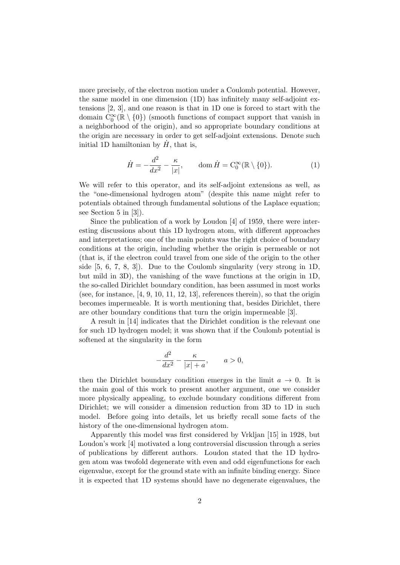more precisely, of the electron motion under a Coulomb potential. However, the same model in one dimension (1D) has infinitely many self-adjoint extensions [2, 3], and one reason is that in 1D one is forced to start with the domain  $C_0^{\infty}(\mathbb{R} \setminus \{0\})$  (smooth functions of compact support that vanish in a neighborhood of the origin), and so appropriate boundary conditions at the origin are necessary in order to get self-adjoint extensions. Denote such initial 1D hamiltonian by  $\dot{H}$ , that is,

$$
\dot{H} = -\frac{d^2}{dx^2} - \frac{\kappa}{|x|}, \qquad \text{dom}\,\dot{H} = \mathcal{C}_0^{\infty}(\mathbb{R} \setminus \{0\}).\tag{1}
$$

We will refer to this operator, and its self-adjoint extensions as well, as the "one-dimensional hydrogen atom" (despite this name might refer to potentials obtained through fundamental solutions of the Laplace equation; see Section 5 in [3]).

Since the publication of a work by Loudon [4] of 1959, there were interesting discussions about this 1D hydrogen atom, with different approaches and interpretations; one of the main points was the right choice of boundary conditions at the origin, including whether the origin is permeable or not (that is, if the electron could travel from one side of the origin to the other side  $[5, 6, 7, 8, 3]$ . Due to the Coulomb singularity (very strong in 1D, but mild in 3D), the vanishing of the wave functions at the origin in 1D, the so-called Dirichlet boundary condition, has been assumed in most works (see, for instance,  $[4, 9, 10, 11, 12, 13]$ , references therein), so that the origin becomes impermeable. It is worth mentioning that, besides Dirichlet, there are other boundary conditions that turn the origin impermeable [3].

A result in [14] indicates that the Dirichlet condition is the relevant one for such 1D hydrogen model; it was shown that if the Coulomb potential is softened at the singularity in the form

$$
-\frac{d^2}{dx^2} - \frac{\kappa}{|x|+a}, \qquad a > 0,
$$

then the Dirichlet boundary condition emerges in the limit  $a \to 0$ . It is the main goal of this work to present another argument, one we consider more physically appealing, to exclude boundary conditions different from Dirichlet; we will consider a dimension reduction from 3D to 1D in such model. Before going into details, let us briefly recall some facts of the history of the one-dimensional hydrogen atom.

Apparently this model was first considered by Vrkljan [15] in 1928, but Loudon's work [4] motivated a long controversial discussion through a series of publications by different authors. Loudon stated that the 1D hydrogen atom was twofold degenerate with even and odd eigenfunctions for each eigenvalue, except for the ground state with an infinite binding energy. Since it is expected that 1D systems should have no degenerate eigenvalues, the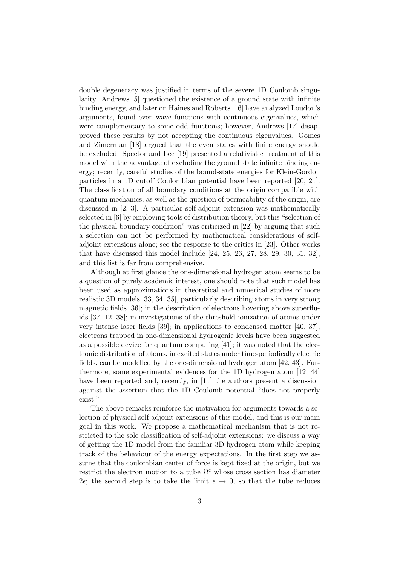double degeneracy was justified in terms of the severe 1D Coulomb singularity. Andrews [5] questioned the existence of a ground state with infinite binding energy, and later on Haines and Roberts [16] have analyzed Loudon's arguments, found even wave functions with continuous eigenvalues, which were complementary to some odd functions; however, Andrews [17] disapproved these results by not accepting the continuous eigenvalues. Gomes and Zimerman [18] argued that the even states with finite energy should be excluded. Spector and Lee [19] presented a relativistic treatment of this model with the advantage of excluding the ground state infinite binding energy; recently, careful studies of the bound-state energies for Klein-Gordon particles in a 1D cutoff Coulombian potential have been reported [20, 21]. The classification of all boundary conditions at the origin compatible with quantum mechanics, as well as the question of permeability of the origin, are discussed in [2, 3]. A particular self-adjoint extension was mathematically selected in [6] by employing tools of distribution theory, but this "selection of the physical boundary condition" was criticized in [22] by arguing that such a selection can not be performed by mathematical considerations of selfadjoint extensions alone; see the response to the critics in [23]. Other works that have discussed this model include [24, 25, 26, 27, 28, 29, 30, 31, 32], and this list is far from comprehensive.

Although at first glance the one-dimensional hydrogen atom seems to be a question of purely academic interest, one should note that such model has been used as approximations in theoretical and numerical studies of more realistic 3D models [33, 34, 35], particularly describing atoms in very strong magnetic fields [36]; in the description of electrons hovering above superfluids [37, 12, 38]; in investigations of the threshold ionization of atoms under very intense laser fields [39]; in applications to condensed matter [40, 37]; electrons trapped in one-dimensional hydrogenic levels have been suggested as a possible device for quantum computing [41]; it was noted that the electronic distribution of atoms, in excited states under time-periodically electric fields, can be modelled by the one-dimensional hydrogen atom [42, 43]. Furthermore, some experimental evidences for the 1D hydrogen atom [12, 44] have been reported and, recently, in [11] the authors present a discussion against the assertion that the 1D Coulomb potential "does not properly exist."

The above remarks reinforce the motivation for arguments towards a selection of physical self-adjoint extensions of this model, and this is our main goal in this work. We propose a mathematical mechanism that is not restricted to the sole classification of self-adjoint extensions: we discuss a way of getting the 1D model from the familiar 3D hydrogen atom while keeping track of the behaviour of the energy expectations. In the first step we assume that the coulombian center of force is kept fixed at the origin, but we restrict the electron motion to a tube  $\Omega^{\epsilon}$  whose cross section has diameter 2 $\epsilon$ ; the second step is to take the limit  $\epsilon \to 0$ , so that the tube reduces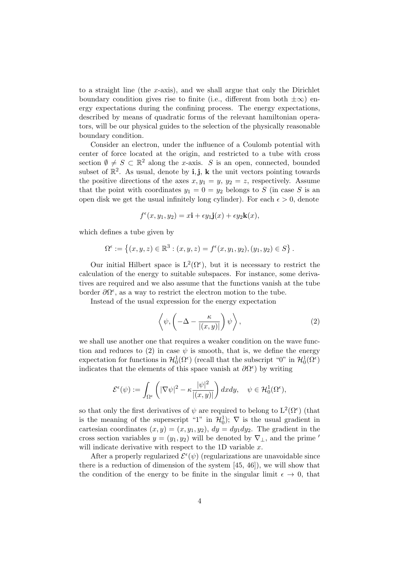to a straight line (the x-axis), and we shall argue that only the Dirichlet boundary condition gives rise to finite (i.e., different from both  $\pm \infty$ ) energy expectations during the confining process. The energy expectations, described by means of quadratic forms of the relevant hamiltonian operators, will be our physical guides to the selection of the physically reasonable boundary condition.

Consider an electron, under the influence of a Coulomb potential with center of force located at the origin, and restricted to a tube with cross section  $\emptyset \neq S \subset \mathbb{R}^2$  along the x-axis. S is an open, connected, bounded subset of  $\mathbb{R}^2$ . As usual, denote by **i**, **j**, **k** the unit vectors pointing towards the positive directions of the axes  $x, y_1 = y, y_2 = z$ , respectively. Assume that the point with coordinates  $y_1 = 0 = y_2$  belongs to S (in case S is an open disk we get the usual infinitely long cylinder). For each  $\epsilon > 0$ , denote

$$
f^{\epsilon}(x, y_1, y_2) = x\mathbf{i} + \epsilon y_1 \mathbf{j}(x) + \epsilon y_2 \mathbf{k}(x),
$$

which defines a tube given by

$$
\Omega^{\epsilon} := \left\{ (x, y, z) \in \mathbb{R}^3 : (x, y, z) = f^{\epsilon}(x, y_1, y_2), (y_1, y_2) \in S \right\}.
$$

Our initial Hilbert space is  $L^2(\Omega^{\epsilon})$ , but it is necessary to restrict the calculation of the energy to suitable subspaces. For instance, some derivatives are required and we also assume that the functions vanish at the tube border  $\partial\Omega^{\epsilon}$ , as a way to restrict the electron motion to the tube.

Instead of the usual expression for the energy expectation

$$
\left\langle \psi, \left( -\Delta - \frac{\kappa}{|(x,y)|} \right) \psi \right\rangle, \tag{2}
$$

we shall use another one that requires a weaker condition on the wave function and reduces to (2) in case  $\psi$  is smooth, that is, we define the energy expectation for functions in  $\mathcal{H}_0^1(\Omega^{\epsilon})$  (recall that the subscript "0" in  $\mathcal{H}_0^1(\Omega^{\epsilon})$ indicates that the elements of this space vanish at  $\partial \Omega^{\epsilon}$  by writing

$$
\mathcal{E}^{\epsilon}(\psi) := \int_{\Omega^{\epsilon}} \left( |\nabla \psi|^2 - \kappa \frac{|\psi|^2}{|(x, y)|} \right) dx dy, \quad \psi \in \mathcal{H}_0^1(\Omega^{\epsilon}),
$$

so that only the first derivatives of  $\psi$  are required to belong to  $L^2(\Omega^{\epsilon})$  (that is the meaning of the superscript "1" in  $\mathcal{H}_0^1$ );  $\nabla$  is the usual gradient in cartesian coordinates  $(x, y) = (x, y_1, y_2), dy = dy_1 dy_2$ . The gradient in the cross section variables  $y = (y_1, y_2)$  will be denoted by  $\nabla_{\perp}$ , and the prime ' will indicate derivative with respect to the 1D variable  $x$ .

After a properly regularized  $\mathcal{E}^{\epsilon}(\psi)$  (regularizations are unavoidable since there is a reduction of dimension of the system [45, 46]), we will show that the condition of the energy to be finite in the singular limit  $\epsilon \to 0$ , that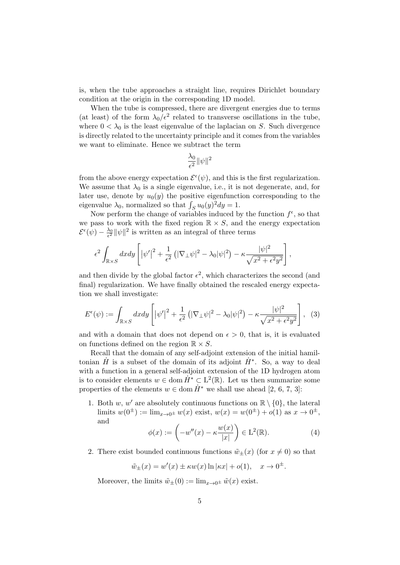is, when the tube approaches a straight line, requires Dirichlet boundary condition at the origin in the corresponding 1D model.

When the tube is compressed, there are divergent energies due to terms (at least) of the form  $\lambda_0/\epsilon^2$  related to transverse oscillations in the tube, where  $0 < \lambda_0$  is the least eigenvalue of the laplacian on S. Such divergence is directly related to the uncertainty principle and it comes from the variables we want to eliminate. Hence we subtract the term

$$
\frac{\lambda_0}{\epsilon^2} \|\psi\|^2
$$

from the above energy expectation  $\mathcal{E}^{\epsilon}(\psi)$ , and this is the first regularization. We assume that  $\lambda_0$  is a single eigenvalue, i.e., it is not degenerate, and, for later use, denote by  $u_0(y)$  the positive eigenfunction corresponding to the eigenvalue  $\lambda_0$ , normalized so that  $\int_S u_0(y)^2 dy = 1$ .

Now perform the change of variables induced by the function  $f^{\epsilon}$ , so that we pass to work with the fixed region  $\mathbb{R} \times S$ , and the energy expectation  $\mathcal{E}^{\epsilon}(\psi) - \frac{\lambda_0}{\epsilon^2} ||\psi||^2$  is written as an integral of three terms

$$
\epsilon^2 \int_{\mathbb{R}\times S} dx dy \left[ |\psi'|^2 + \frac{1}{\epsilon^2} \left( |\nabla_{\perp} \psi|^2 - \lambda_0 |\psi|^2 \right) - \kappa \frac{|\psi|^2}{\sqrt{x^2 + \epsilon^2 y^2}} \right],
$$

and then divide by the global factor  $\epsilon^2$ , which characterizes the second (and final) regularization. We have finally obtained the rescaled energy expectation we shall investigate:

$$
E^{\epsilon}(\psi) := \int_{\mathbb{R} \times S} dxdy \left[ |\psi'|^2 + \frac{1}{\epsilon^2} \left( |\nabla_{\perp} \psi|^2 - \lambda_0 |\psi|^2 \right) - \kappa \frac{|\psi|^2}{\sqrt{x^2 + \epsilon^2 y^2}} \right], \tag{3}
$$

and with a domain that does not depend on  $\epsilon > 0$ , that is, it is evaluated on functions defined on the region  $\mathbb{R} \times S$ .

Recall that the domain of any self-adjoint extension of the initial hamiltonian  $\dot{H}$  is a subset of the domain of its adjoint  $\dot{H}^*$ . So, a way to deal with a function in a general self-adjoint extension of the 1D hydrogen atom is to consider elements  $w \in \text{dom } \dot{H}^* \subset L^2(\mathbb{R})$ . Let us then summarize some properties of the elements  $w \in \text{dom }\dot{H}^*$  we shall use ahead [2, 6, 7, 3]:

1. Both w, w' are absolutely continuous functions on  $\mathbb{R} \setminus \{0\}$ , the lateral limits  $w(0^{\pm}) := \lim_{x \to 0^{\pm}} w(x)$  exist,  $w(x) = w(0^{\pm}) + o(1)$  as  $x \to 0^{\pm}$ , and

$$
\phi(x) := \left(-w''(x) - \kappa \frac{w(x)}{|x|}\right) \in \mathcal{L}^2(\mathbb{R}).\tag{4}
$$

2. There exist bounded continuous functions  $\tilde{w}_+(x)$  (for  $x \neq 0$ ) so that

$$
\tilde{w}_{\pm}(x) = w'(x) \pm \kappa w(x) \ln |\kappa x| + o(1), \quad x \to 0^{\pm}.
$$

Moreover, the limits  $\tilde{w}_+(0) := \lim_{x\to 0^{\pm}} \tilde{w}(x)$  exist.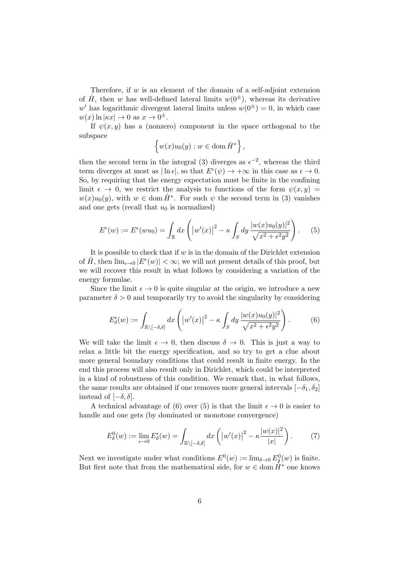Therefore, if  $w$  is an element of the domain of a self-adjoint extension of  $\dot{H}$ , then w has well-defined lateral limits  $w(0^{\pm})$ , whereas its derivative w' has logarithmic divergent lateral limits unless  $w(0^{\pm}) = 0$ , in which case  $w(x) \ln |\kappa x| \to 0 \text{ as } x \to 0^{\pm}.$ 

If  $\psi(x, y)$  has a (nonzero) component in the space orthogonal to the subspace

$$
\left\{w(x)u_0(y):w\in\mathrm{dom}\, \dot{H}^*\right\},\
$$

then the second term in the integral (3) diverges as  $\epsilon^{-2}$ , whereas the third term diverges at most as  $|\ln \epsilon|$ , so that  $E^{\epsilon}(\psi) \to +\infty$  in this case as  $\epsilon \to 0$ . So, by requiring that the energy expectation must be finite in the confining limit  $\epsilon \to 0$ , we restrict the analysis to functions of the form  $\psi(x, y) =$  $w(x)u_0(y)$ , with  $w \in \text{dom }\dot{H}^*$ . For such  $\psi$  the second term in (3) vanishes and one gets (recall that  $u_0$  is normalized)

$$
E^{\epsilon}(w) := E^{\epsilon}(wu_0) = \int_{\mathbb{R}} dx \left( |w'(x)|^2 - \kappa \int_{S} dy \, \frac{|w(x)u_0(y)|^2}{\sqrt{x^2 + \epsilon^2 y^2}} \right). \tag{5}
$$

It is possible to check that if  $w$  is in the domain of the Dirichlet extension of  $\dot{H}$ , then  $\lim_{\epsilon \to 0} |E^{\epsilon}(w)| < \infty$ ; we will not present details of this proof, but we will recover this result in what follows by considering a variation of the energy formulae.

Since the limit  $\epsilon \to 0$  is quite singular at the origin, we introduce a new parameter  $\delta > 0$  and temporarily try to avoid the singularity by considering

$$
E_{\delta}^{\epsilon}(w) := \int_{\mathbb{R}\setminus[-\delta,\delta]} dx \left( \left|w'(x)\right|^2 - \kappa \int_{S} dy \, \frac{|w(x)u_0(y)|^2}{\sqrt{x^2 + \epsilon^2 y^2}} \right). \tag{6}
$$

We will take the limit  $\epsilon \to 0$ , then discuss  $\delta \to 0$ . This is just a way to relax a little bit the energy specification, and so try to get a clue about more general boundary conditions that could result in finite energy. In the end this process will also result only in Dirichlet, which could be interpreted in a kind of robustness of this condition. We remark that, in what follows, the same results are obtained if one removes more general intervals  $[-\delta_1, \delta_2]$ instead of  $[-\delta, \delta]$ .

A technical advantage of (6) over (5) is that the limit  $\epsilon \to 0$  is easier to handle and one gets (by dominated or monotone convergence)

$$
E_{\delta}^{0}(w) := \lim_{\epsilon \to 0} E_{\delta}^{\epsilon}(w) = \int_{\mathbb{R} \setminus [-\delta, \delta]} dx \left( \left| w'(x) \right|^{2} - \kappa \frac{|w(x)|^{2}}{|x|} \right). \tag{7}
$$

Next we investigate under what conditions  $E^0(w) := \lim_{\delta \to 0} E^0_{\delta}(w)$  is finite. But first note that from the mathematical side, for  $w \in \text{dom }\dot{H}^*$  one knows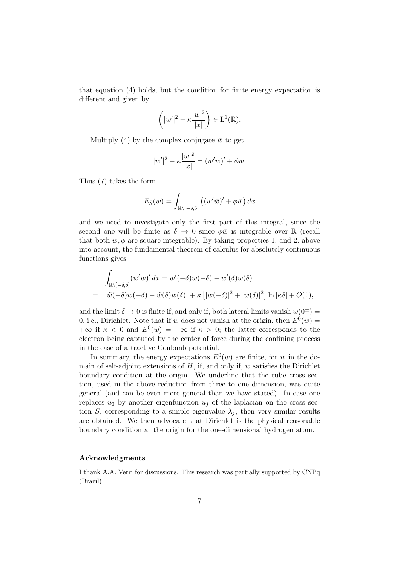that equation (4) holds, but the condition for finite energy expectation is different and given by

$$
\left(|w'|^2 - \kappa \frac{|w|^2}{|x|}\right) \in \mathcal{L}^1(\mathbb{R}).
$$

Multiply (4) by the complex conjugate  $\bar{w}$  to get

$$
|w'|^{2} - \kappa \frac{|w|^{2}}{|x|} = (w'\bar{w})' + \phi \bar{w}.
$$

Thus (7) takes the form

$$
E_{\delta}^{0}(w) = \int_{\mathbb{R}\setminus[-\delta,\delta]} \left( (w'\bar{w})' + \phi \bar{w} \right) dx
$$

and we need to investigate only the first part of this integral, since the second one will be finite as  $\delta \to 0$  since  $\phi \bar{w}$  is integrable over R (recall that both  $w, \phi$  are square integrable). By taking properties 1, and 2, above into account, the fundamental theorem of calculus for absolutely continuous functions gives

$$
\int_{\mathbb{R}\setminus[-\delta,\delta]} (w'\bar{w})' dx = w'(-\delta)\bar{w}(-\delta) - w'(\delta)\bar{w}(\delta)
$$
\n
$$
= [\tilde{w}(-\delta)\bar{w}(-\delta) - \tilde{w}(\delta)\bar{w}(\delta)] + \kappa [|w(-\delta)|^2 + |w(\delta)|^2] \ln |\kappa \delta| + O(1),
$$

and the limit  $\delta \to 0$  is finite if, and only if, both lateral limits vanish  $w(0^{\pm}) =$ 0, i.e., Dirichlet. Note that if w does not vanish at the origin, then  $E^0(w)$  =  $+\infty$  if  $\kappa < 0$  and  $E^0(w) = -\infty$  if  $\kappa > 0$ ; the latter corresponds to the electron being captured by the center of force during the confining process in the case of attractive Coulomb potential.

In summary, the energy expectations  $E^0(w)$  are finite, for w in the domain of self-adjoint extensions of  $\dot{H}$ , if, and only if, w satisfies the Dirichlet boundary condition at the origin. We underline that the tube cross section, used in the above reduction from three to one dimension, was quite general (and can be even more general than we have stated). In case one replaces  $u_0$  by another eigenfunction  $u_j$  of the laplacian on the cross section S, corresponding to a simple eigenvalue  $\lambda_j$ , then very similar results are obtained. We then advocate that Dirichlet is the physical reasonable boundary condition at the origin for the one-dimensional hydrogen atom.

## Acknowledgments

I thank A.A. Verri for discussions. This research was partially supported by CNPq (Brazil).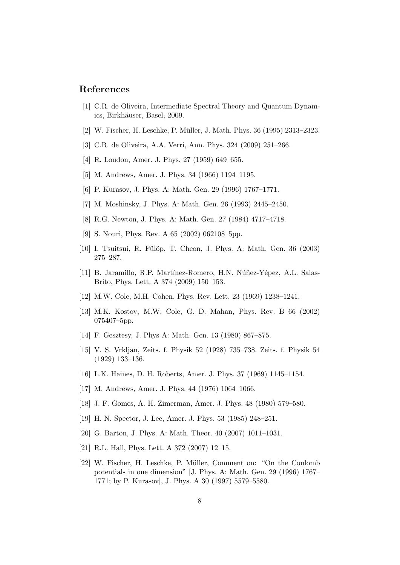## References

- [1] C.R. de Oliveira, Intermediate Spectral Theory and Quantum Dynamics, Birkhäuser, Basel, 2009.
- [2] W. Fischer, H. Leschke, P. Müller, J. Math. Phys. 36 (1995) 2313–2323.
- [3] C.R. de Oliveira, A.A. Verri, Ann. Phys. 324 (2009) 251–266.
- [4] R. Loudon, Amer. J. Phys. 27 (1959) 649–655.
- [5] M. Andrews, Amer. J. Phys. 34 (1966) 1194–1195.
- [6] P. Kurasov, J. Phys. A: Math. Gen. 29 (1996) 1767–1771.
- [7] M. Moshinsky, J. Phys. A: Math. Gen. 26 (1993) 2445–2450.
- [8] R.G. Newton, J. Phys. A: Math. Gen. 27 (1984) 4717–4718.
- [9] S. Nouri, Phys. Rev. A 65 (2002) 062108–5pp.
- [10] I. Tsuitsui, R. Fülöp, T. Cheon, J. Phys. A: Math. Gen. 36 (2003) 275–287.
- [11] B. Jaramillo, R.P. Martínez-Romero, H.N. Núñez-Yépez, A.L. Salas-Brito, Phys. Lett. A 374 (2009) 150–153.
- [12] M.W. Cole, M.H. Cohen, Phys. Rev. Lett. 23 (1969) 1238–1241.
- [13] M.K. Kostov, M.W. Cole, G. D. Mahan, Phys. Rev. B 66 (2002) 075407–5pp.
- [14] F. Gesztesy, J. Phys A: Math. Gen. 13 (1980) 867–875.
- [15] V. S. Vrkljan, Zeits. f. Physik 52 (1928) 735–738. Zeits. f. Physik 54 (1929) 133–136.
- [16] L.K. Haines, D. H. Roberts, Amer. J. Phys. 37 (1969) 1145–1154.
- [17] M. Andrews, Amer. J. Phys. 44 (1976) 1064–1066.
- [18] J. F. Gomes, A. H. Zimerman, Amer. J. Phys. 48 (1980) 579–580.
- [19] H. N. Spector, J. Lee, Amer. J. Phys. 53 (1985) 248–251.
- [20] G. Barton, J. Phys. A: Math. Theor. 40 (2007) 1011–1031.
- [21] R.L. Hall, Phys. Lett. A 372 (2007) 12–15.
- [22] W. Fischer, H. Leschke, P. M¨uller, Comment on: "On the Coulomb potentials in one dimension" [J. Phys. A: Math. Gen. 29 (1996) 1767– 1771; by P. Kurasov], J. Phys. A 30 (1997) 5579–5580.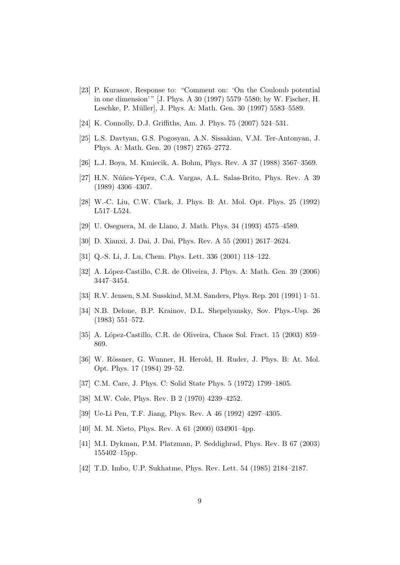- [23] P. Kurasov, Response to: "Comment on: 'On the Coulomb potential in one dimension'" [J. Phys. A 30 (1997) 5579–5580; by W. Fischer, H. Leschke, P. Müller], J. Phys. A: Math. Gen. 30 (1997) 5583-5589.
- [24] K. Connolly, D.J. Griffiths, Am. J. Phys. 75 (2007) 524–531.
- [25] L.S. Davtyan, G.S. Pogosyan, A.N. Sissakian, V.M. Ter-Antonyan, J. Phys. A: Math. Gen. 20 (1987) 2765–2772.
- [26] L.J. Boya, M. Kmiecik, A. Bohm, Phys. Rev. A 37 (1988) 3567–3569.
- [27] H.N. Núñes-Yépez, C.A. Vargas, A.L. Salas-Brito, Phys. Rev. A 39 (1989) 4306–4307.
- [28] W.-C. Liu, C.W. Clark, J. Phys. B: At. Mol. Opt. Phys. 25 (1992) L517–L524.
- [29] U. Oseguera, M. de Llano, J. Math. Phys. 34 (1993) 4575–4589.
- [30] D. Xianxi, J. Dai, J. Dai, Phys. Rev. A 55 (2001) 2617–2624.
- [31] Q.-S. Li, J. Lu, Chem. Phys. Lett. 336 (2001) 118–122.
- [32] A. López-Castillo, C.R. de Oliveira, J. Phys. A: Math. Gen. 39 (2006) 3447–3454.
- [33] R.V. Jensen, S.M. Susskind, M.M. Sanders, Phys. Rep. 201 (1991) 1–51.
- [34] N.B. Delone, B.P. Krainov, D.L. Shepelyansky, Sov. Phys.-Usp. 26 (1983) 551–572.
- [35] A. López-Castillo, C.R. de Oliveira, Chaos Sol. Fract. 15 (2003) 859– 869.
- [36] W. Rössner, G. Wunner, H. Herold, H. Ruder, J. Phys. B: At. Mol. Opt. Phys. 17 (1984) 29–52.
- [37] C.M. Care, J. Phys. C: Solid State Phys. 5 (1972) 1799–1805.
- [38] M.W. Cole, Phys. Rev. B 2 (1970) 4239–4252.
- [39] Ue-Li Pen, T.F. Jiang, Phys. Rev. A 46 (1992) 4297–4305.
- [40] M. M. Nieto, Phys. Rev. A 61 (2000) 034901–4pp.
- [41] M.I. Dykman, P.M. Platzman, P. Seddighrad, Phys. Rev. B 67 (2003) 155402–15pp.
- [42] T.D. Imbo, U.P. Sukhatme, Phys. Rev. Lett. 54 (1985) 2184–2187.